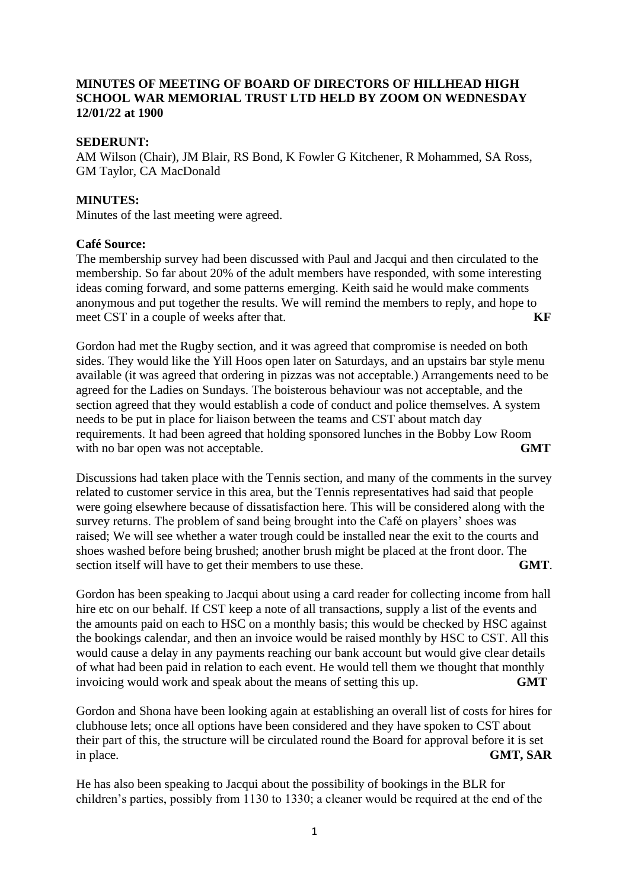### **MINUTES OF MEETING OF BOARD OF DIRECTORS OF HILLHEAD HIGH SCHOOL WAR MEMORIAL TRUST LTD HELD BY ZOOM ON WEDNESDAY 12/01/22 at 1900**

#### **SEDERUNT:**

AM Wilson (Chair), JM Blair, RS Bond, K Fowler G Kitchener, R Mohammed, SA Ross, GM Taylor, CA MacDonald

#### **MINUTES:**

Minutes of the last meeting were agreed.

#### **Café Source:**

The membership survey had been discussed with Paul and Jacqui and then circulated to the membership. So far about 20% of the adult members have responded, with some interesting ideas coming forward, and some patterns emerging. Keith said he would make comments anonymous and put together the results. We will remind the members to reply, and hope to meet CST in a couple of weeks after that.

Gordon had met the Rugby section, and it was agreed that compromise is needed on both sides. They would like the Yill Hoos open later on Saturdays, and an upstairs bar style menu available (it was agreed that ordering in pizzas was not acceptable.) Arrangements need to be agreed for the Ladies on Sundays. The boisterous behaviour was not acceptable, and the section agreed that they would establish a code of conduct and police themselves. A system needs to be put in place for liaison between the teams and CST about match day requirements. It had been agreed that holding sponsored lunches in the Bobby Low Room with no bar open was not acceptable. **GMT** 

Discussions had taken place with the Tennis section, and many of the comments in the survey related to customer service in this area, but the Tennis representatives had said that people were going elsewhere because of dissatisfaction here. This will be considered along with the survey returns. The problem of sand being brought into the Café on players' shoes was raised; We will see whether a water trough could be installed near the exit to the courts and shoes washed before being brushed; another brush might be placed at the front door. The section itself will have to get their members to use these. **GMT**.

Gordon has been speaking to Jacqui about using a card reader for collecting income from hall hire etc on our behalf. If CST keep a note of all transactions, supply a list of the events and the amounts paid on each to HSC on a monthly basis; this would be checked by HSC against the bookings calendar, and then an invoice would be raised monthly by HSC to CST. All this would cause a delay in any payments reaching our bank account but would give clear details of what had been paid in relation to each event. He would tell them we thought that monthly invoicing would work and speak about the means of setting this up. **GMT**

Gordon and Shona have been looking again at establishing an overall list of costs for hires for clubhouse lets; once all options have been considered and they have spoken to CST about their part of this, the structure will be circulated round the Board for approval before it is set in place. **GMT, SAR**

He has also been speaking to Jacqui about the possibility of bookings in the BLR for children's parties, possibly from 1130 to 1330; a cleaner would be required at the end of the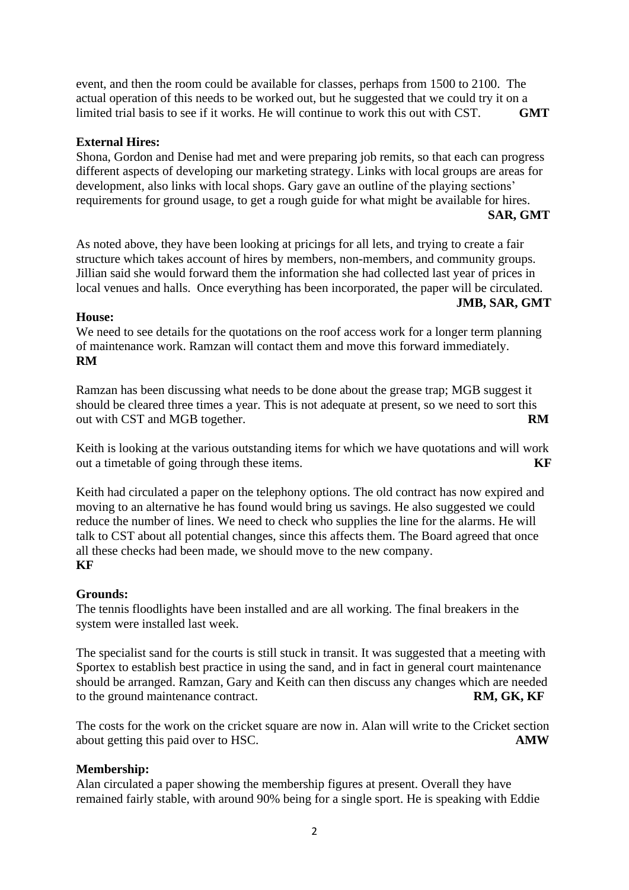event, and then the room could be available for classes, perhaps from 1500 to 2100. The actual operation of this needs to be worked out, but he suggested that we could try it on a limited trial basis to see if it works. He will continue to work this out with CST. **GMT**

#### **External Hires:**

Shona, Gordon and Denise had met and were preparing job remits, so that each can progress different aspects of developing our marketing strategy. Links with local groups are areas for development, also links with local shops. Gary gave an outline of the playing sections' requirements for ground usage, to get a rough guide for what might be available for hires. **SAR, GMT** 

As noted above, they have been looking at pricings for all lets, and trying to create a fair structure which takes account of hires by members, non-members, and community groups. Jillian said she would forward them the information she had collected last year of prices in local venues and halls. Once everything has been incorporated, the paper will be circulated. **JMB, SAR, GMT**

#### **House:**

We need to see details for the quotations on the roof access work for a longer term planning of maintenance work. Ramzan will contact them and move this forward immediately. **RM**

Ramzan has been discussing what needs to be done about the grease trap; MGB suggest it should be cleared three times a year. This is not adequate at present, so we need to sort this out with CST and MGB together. **RM**

Keith is looking at the various outstanding items for which we have quotations and will work out a timetable of going through these items. **KF**

Keith had circulated a paper on the telephony options. The old contract has now expired and moving to an alternative he has found would bring us savings. He also suggested we could reduce the number of lines. We need to check who supplies the line for the alarms. He will talk to CST about all potential changes, since this affects them. The Board agreed that once all these checks had been made, we should move to the new company. **KF**

#### **Grounds:**

The tennis floodlights have been installed and are all working. The final breakers in the system were installed last week.

The specialist sand for the courts is still stuck in transit. It was suggested that a meeting with Sportex to establish best practice in using the sand, and in fact in general court maintenance should be arranged. Ramzan, Gary and Keith can then discuss any changes which are needed to the ground maintenance contract. **RM, GK, KF** 

The costs for the work on the cricket square are now in. Alan will write to the Cricket section about getting this paid over to HSC.

#### **Membership:**

Alan circulated a paper showing the membership figures at present. Overall they have remained fairly stable, with around 90% being for a single sport. He is speaking with Eddie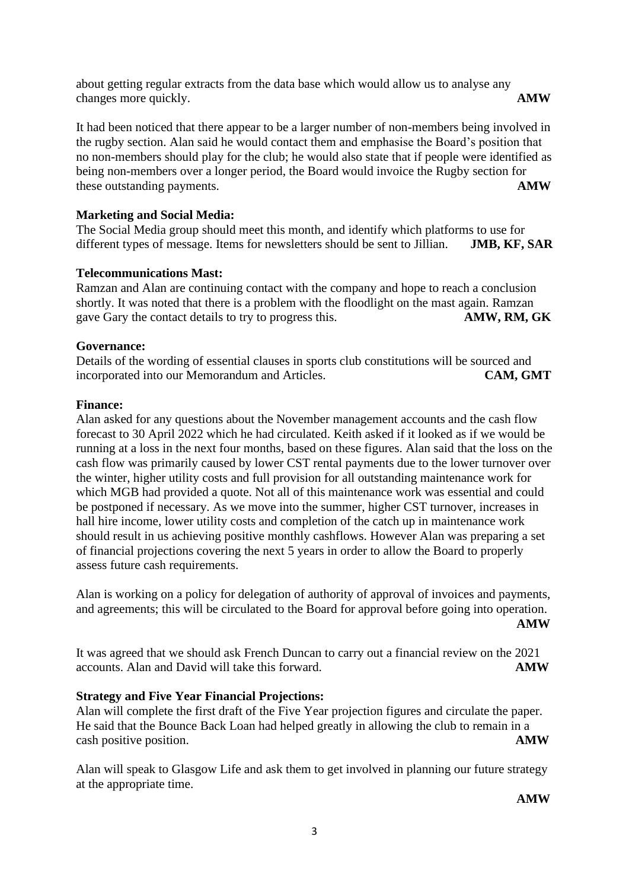about getting regular extracts from the data base which would allow us to analyse any changes more quickly. **AMW**

It had been noticed that there appear to be a larger number of non-members being involved in the rugby section. Alan said he would contact them and emphasise the Board's position that no non-members should play for the club; he would also state that if people were identified as being non-members over a longer period, the Board would invoice the Rugby section for these outstanding payments. **AMW**

### **Marketing and Social Media:**

The Social Media group should meet this month, and identify which platforms to use for different types of message. Items for newsletters should be sent to Jillian. **JMB, KF, SAR** 

### **Telecommunications Mast:**

Ramzan and Alan are continuing contact with the company and hope to reach a conclusion shortly. It was noted that there is a problem with the floodlight on the mast again. Ramzan gave Gary the contact details to try to progress this. **AMW, RM, GK** 

### **Governance:**

Details of the wording of essential clauses in sports club constitutions will be sourced and incorporated into our Memorandum and Articles. **CAM, GMT**

# **Finance:**

Alan asked for any questions about the November management accounts and the cash flow forecast to 30 April 2022 which he had circulated. Keith asked if it looked as if we would be running at a loss in the next four months, based on these figures. Alan said that the loss on the cash flow was primarily caused by lower CST rental payments due to the lower turnover over the winter, higher utility costs and full provision for all outstanding maintenance work for which MGB had provided a quote. Not all of this maintenance work was essential and could be postponed if necessary. As we move into the summer, higher CST turnover, increases in hall hire income, lower utility costs and completion of the catch up in maintenance work should result in us achieving positive monthly cashflows. However Alan was preparing a set of financial projections covering the next 5 years in order to allow the Board to properly assess future cash requirements.

Alan is working on a policy for delegation of authority of approval of invoices and payments, and agreements; this will be circulated to the Board for approval before going into operation. **AMW**

It was agreed that we should ask French Duncan to carry out a financial review on the 2021 accounts. Alan and David will take this forward. **AMW** 

### **Strategy and Five Year Financial Projections:**

Alan will complete the first draft of the Five Year projection figures and circulate the paper. He said that the Bounce Back Loan had helped greatly in allowing the club to remain in a cash positive position. **AMW** 

Alan will speak to Glasgow Life and ask them to get involved in planning our future strategy at the appropriate time.

**AMW**